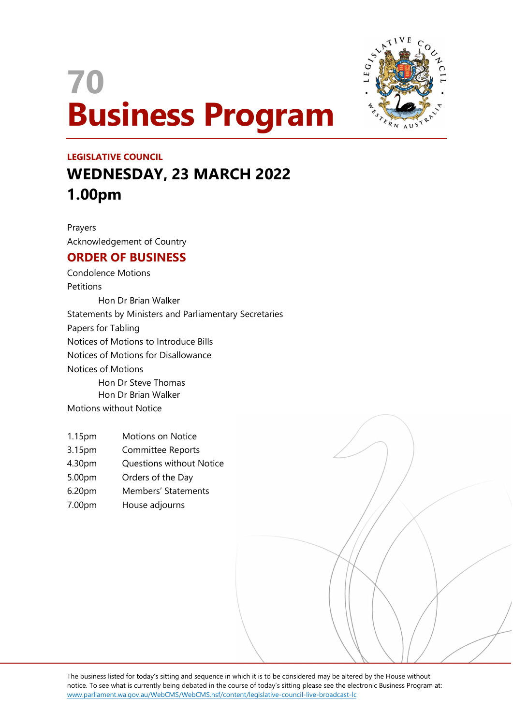# 70 Business Program



## LEGISLATIVE COUNCIL WEDNESDAY, 23 MARCH 2022 1.00pm

Prayers Acknowledgement of Country

### ORDER OF BUSINESS

Condolence Motions **Petitions** Hon Dr Brian Walker Statements by Ministers and Parliamentary Secretaries Papers for Tabling Notices of Motions to Introduce Bills Notices of Motions for Disallowance Notices of Motions Hon Dr Steve Thomas Hon Dr Brian Walker

Motions without Notice

- 1.15pm Motions on Notice
- 3.15pm Committee Reports
- 4.30pm Questions without Notice
- 5.00pm Orders of the Day
- 6.20pm Members' Statements
- 7.00pm House adjourns

The business listed for today's sitting and sequence in which it is to be considered may be altered by the House without notice. To see what is currently being debated in the course of today's sitting please see the electronic Business Program at: www.parliament.wa.gov.au/WebCMS/WebCMS.nsf/content/legislative-council-live-broadcast-lc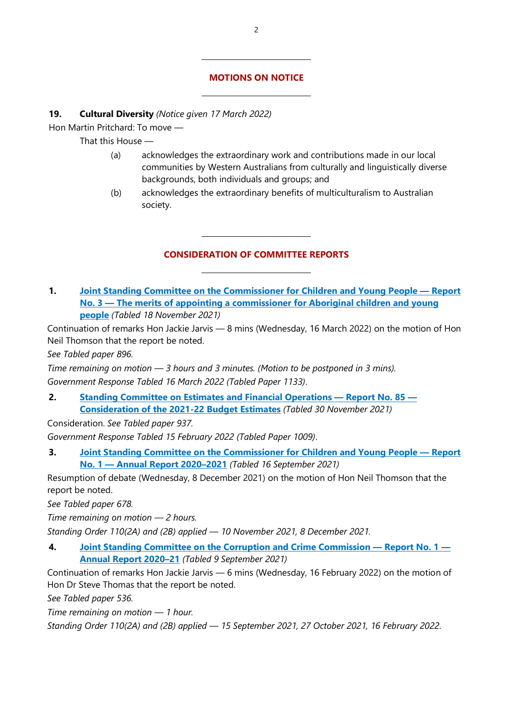#### MOTIONS ON NOTICE

#### 19. Cultural Diversity (Notice given 17 March 2022)

 $\overline{a}$ 

 $\overline{a}$ 

 $\overline{a}$ 

 $\overline{a}$ 

Hon Martin Pritchard: To move —

That this House —

- (a) acknowledges the extraordinary work and contributions made in our local communities by Western Australians from culturally and linguistically diverse backgrounds, both individuals and groups; and
- (b) acknowledges the extraordinary benefits of multiculturalism to Australian society.

#### CONSIDERATION OF COMMITTEE REPORTS

1. Joint Standing Committee on the Commissioner for Children and Young People — Report No. 3 — The merits of appointing a commissioner for Aboriginal children and young people (Tabled 18 November 2021)

Continuation of remarks Hon Jackie Jarvis — 8 mins (Wednesday, 16 March 2022) on the motion of Hon Neil Thomson that the report be noted.

See Tabled paper 896.

Time remaining on motion — 3 hours and 3 minutes. (Motion to be postponed in 3 mins). Government Response Tabled 16 March 2022 (Tabled Paper 1133).

2. Standing Committee on Estimates and Financial Operations — Report No. 85 — Consideration of the 2021-22 Budget Estimates (Tabled 30 November 2021)

Consideration. See Tabled paper 937.

Government Response Tabled 15 February 2022 (Tabled Paper 1009).

3. Joint Standing Committee on the Commissioner for Children and Young People — Report No. 1 — Annual Report 2020–2021 (Tabled 16 September 2021)

Resumption of debate (Wednesday, 8 December 2021) on the motion of Hon Neil Thomson that the report be noted.

See Tabled paper 678.

Time remaining on motion — 2 hours.

Standing Order 110(2A) and (2B) applied — 10 November 2021, 8 December 2021.

4. Joint Standing Committee on the Corruption and Crime Commission — Report No. 1 — Annual Report 2020-21 (Tabled 9 September 2021)

Continuation of remarks Hon Jackie Jarvis — 6 mins (Wednesday, 16 February 2022) on the motion of Hon Dr Steve Thomas that the report be noted.

See Tabled paper 536.

Time remaining on motion — 1 hour.

Standing Order 110(2A) and (2B) applied — 15 September 2021, 27 October 2021, 16 February 2022.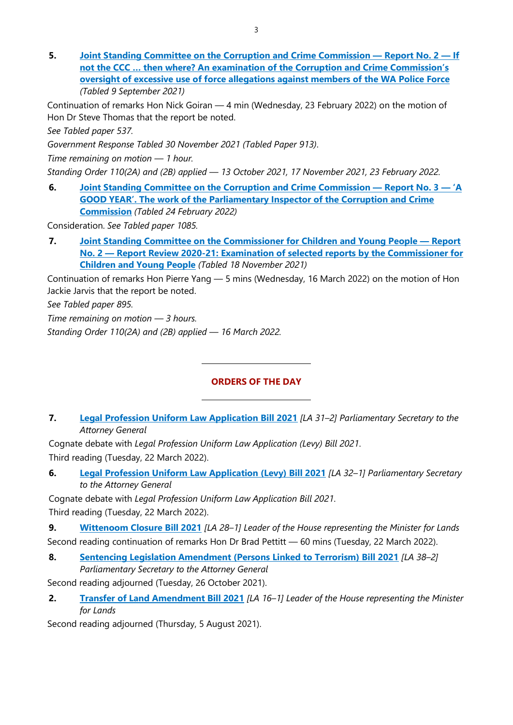5. Joint Standing Committee on the Corruption and Crime Commission — Report No. 2 — If not the CCC … then where? An examination of the Corruption and Crime Commission's oversight of excessive use of force allegations against members of the WA Police Force (Tabled 9 September 2021)

Continuation of remarks Hon Nick Goiran — 4 min (Wednesday, 23 February 2022) on the motion of Hon Dr Steve Thomas that the report be noted.

See Tabled paper 537.

Government Response Tabled 30 November 2021 (Tabled Paper 913).

Time remaining on motion — 1 hour.

Standing Order 110(2A) and (2B) applied — 13 October 2021, 17 November 2021, 23 February 2022.

6. Joint Standing Committee on the Corruption and Crime Commission — Report No. 3 — 'A GOOD YEAR'. The work of the Parliamentary Inspector of the Corruption and Crime **Commission** (Tabled 24 February 2022)

Consideration. See Tabled paper 1085.

7. Joint Standing Committee on the Commissioner for Children and Young People — Report No. 2 — Report Review 2020-21: Examination of selected reports by the Commissioner for Children and Young People (Tabled 18 November 2021)

Continuation of remarks Hon Pierre Yang — 5 mins (Wednesday, 16 March 2022) on the motion of Hon Jackie Jarvis that the report be noted.

See Tabled paper 895.

Time remaining on motion — 3 hours. Standing Order 110(2A) and (2B) applied — 16 March 2022.

#### ORDERS OF THE DAY

7. Legal Profession Uniform Law Application Bill 2021 [LA 31-2] Parliamentary Secretary to the Attorney General

Cognate debate with Legal Profession Uniform Law Application (Levy) Bill 2021. Third reading (Tuesday, 22 March 2022).

 $\overline{a}$ 

 $\overline{a}$ 

6. Legal Profession Uniform Law Application (Levy) Bill 2021 [LA 32-1] Parliamentary Secretary to the Attorney General

Cognate debate with Legal Profession Uniform Law Application Bill 2021. Third reading (Tuesday, 22 March 2022).

9. Wittenoom Closure Bill 2021 [LA 28-1] Leader of the House representing the Minister for Lands Second reading continuation of remarks Hon Dr Brad Pettitt - 60 mins (Tuesday, 22 March 2022).

8. Sentencing Legislation Amendment (Persons Linked to Terrorism) Bill 2021 [LA 38-2] Parliamentary Secretary to the Attorney General

Second reading adjourned (Tuesday, 26 October 2021).

2. Transfer of Land Amendment Bill 2021 [LA 16-1] Leader of the House representing the Minister for Lands

Second reading adjourned (Thursday, 5 August 2021).